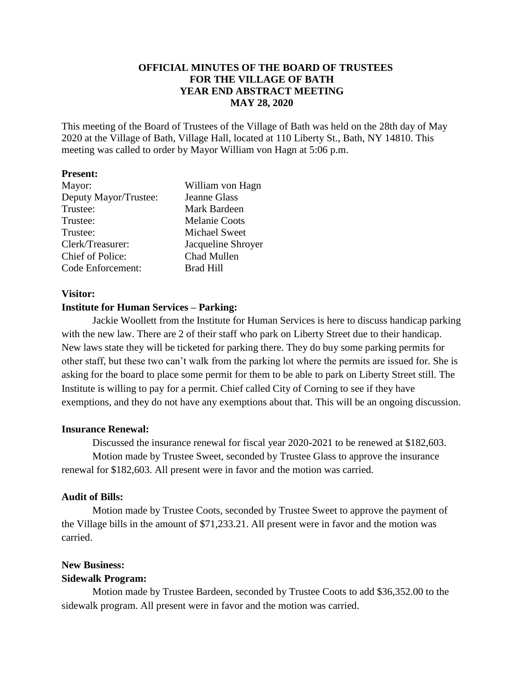# **OFFICIAL MINUTES OF THE BOARD OF TRUSTEES FOR THE VILLAGE OF BATH YEAR END ABSTRACT MEETING MAY 28, 2020**

This meeting of the Board of Trustees of the Village of Bath was held on the 28th day of May 2020 at the Village of Bath, Village Hall, located at 110 Liberty St., Bath, NY 14810. This meeting was called to order by Mayor William von Hagn at 5:06 p.m.

#### **Present:**

| Mayor:                | William von Hagn     |
|-----------------------|----------------------|
| Deputy Mayor/Trustee: | Jeanne Glass         |
| Trustee:              | Mark Bardeen         |
| Trustee:              | <b>Melanie Coots</b> |
| Trustee:              | <b>Michael Sweet</b> |
| Clerk/Treasurer:      | Jacqueline Shroyer   |
| Chief of Police:      | Chad Mullen          |
| Code Enforcement:     | <b>Brad Hill</b>     |

### **Visitor:**

### **Institute for Human Services – Parking:**

Jackie Woollett from the Institute for Human Services is here to discuss handicap parking with the new law. There are 2 of their staff who park on Liberty Street due to their handicap. New laws state they will be ticketed for parking there. They do buy some parking permits for other staff, but these two can't walk from the parking lot where the permits are issued for. She is asking for the board to place some permit for them to be able to park on Liberty Street still. The Institute is willing to pay for a permit. Chief called City of Corning to see if they have exemptions, and they do not have any exemptions about that. This will be an ongoing discussion.

## **Insurance Renewal:**

Discussed the insurance renewal for fiscal year 2020-2021 to be renewed at \$182,603. Motion made by Trustee Sweet, seconded by Trustee Glass to approve the insurance renewal for \$182,603. All present were in favor and the motion was carried.

## **Audit of Bills:**

Motion made by Trustee Coots, seconded by Trustee Sweet to approve the payment of the Village bills in the amount of \$71,233.21. All present were in favor and the motion was carried.

## **New Business:**

#### **Sidewalk Program:**

Motion made by Trustee Bardeen, seconded by Trustee Coots to add \$36,352.00 to the sidewalk program. All present were in favor and the motion was carried.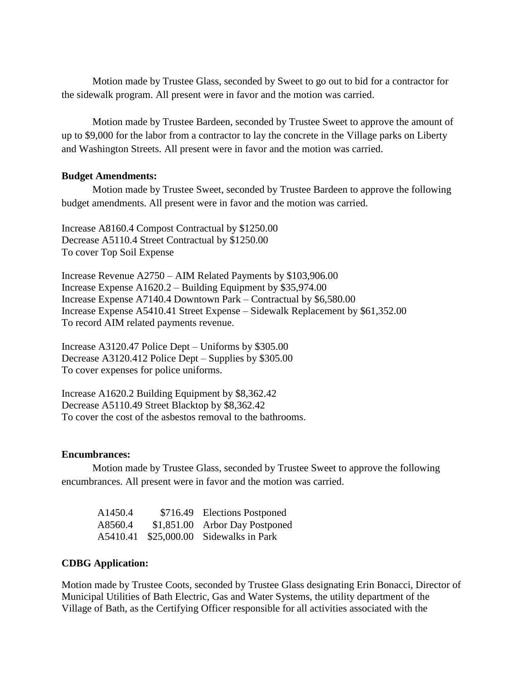Motion made by Trustee Glass, seconded by Sweet to go out to bid for a contractor for the sidewalk program. All present were in favor and the motion was carried.

Motion made by Trustee Bardeen, seconded by Trustee Sweet to approve the amount of up to \$9,000 for the labor from a contractor to lay the concrete in the Village parks on Liberty and Washington Streets. All present were in favor and the motion was carried.

### **Budget Amendments:**

Motion made by Trustee Sweet, seconded by Trustee Bardeen to approve the following budget amendments. All present were in favor and the motion was carried.

Increase A8160.4 Compost Contractual by \$1250.00 Decrease A5110.4 Street Contractual by \$1250.00 To cover Top Soil Expense

Increase Revenue A2750 – AIM Related Payments by \$103,906.00 Increase Expense A1620.2 – Building Equipment by \$35,974.00 Increase Expense A7140.4 Downtown Park – Contractual by \$6,580.00 Increase Expense A5410.41 Street Expense – Sidewalk Replacement by \$61,352.00 To record AIM related payments revenue.

Increase A3120.47 Police Dept – Uniforms by \$305.00 Decrease A3120.412 Police Dept – Supplies by \$305.00 To cover expenses for police uniforms.

Increase A1620.2 Building Equipment by \$8,362.42 Decrease A5110.49 Street Blacktop by \$8,362.42 To cover the cost of the asbestos removal to the bathrooms.

#### **Encumbrances:**

Motion made by Trustee Glass, seconded by Trustee Sweet to approve the following encumbrances. All present were in favor and the motion was carried.

| A <sub>1450.4</sub> | \$716.49 Elections Postponed   |
|---------------------|--------------------------------|
| A8560.4             | \$1,851.00 Arbor Day Postponed |
| A5410.41            | \$25,000.00 Sidewalks in Park  |

## **CDBG Application:**

Motion made by Trustee Coots, seconded by Trustee Glass designating Erin Bonacci, Director of Municipal Utilities of Bath Electric, Gas and Water Systems, the utility department of the Village of Bath, as the Certifying Officer responsible for all activities associated with the